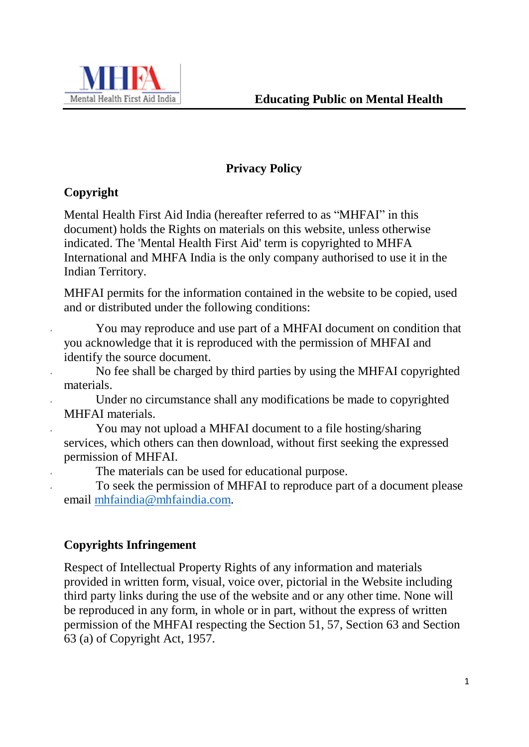

# **Privacy Policy**

# **Copyright**

Mental Health First Aid India (hereafter referred to as "MHFAI" in this document) holds the Rights on materials on this website, unless otherwise indicated. The 'Mental Health First Aid' term is copyrighted to MHFA International and MHFA India is the only company authorised to use it in the Indian Territory.

MHFAI permits for the information contained in the website to be copied, used and or distributed under the following conditions:

You may reproduce and use part of a MHFAI document on condition that you acknowledge that it is reproduced with the permission of MHFAI and identify the source document.

 No fee shall be charged by third parties by using the MHFAI copyrighted materials.

 Under no circumstance shall any modifications be made to copyrighted MHFAI materials.

You may not upload a MHFAI document to a file hosting/sharing services, which others can then download, without first seeking the expressed permission of MHFAI.

The materials can be used for educational purpose.

To seek the permission of MHFAI to reproduce part of a document please email [mhfaindia@mhfaindia.com.](mailto:mhfaindia@mhfaindia.com)

# **Copyrights Infringement**

Respect of Intellectual Property Rights of any information and materials provided in written form, visual, voice over, pictorial in the Website including third party links during the use of the website and or any other time. None will be reproduced in any form, in whole or in part, without the express of written permission of the MHFAI respecting the Section 51, 57, Section 63 and Section 63 (a) of Copyright Act, 1957.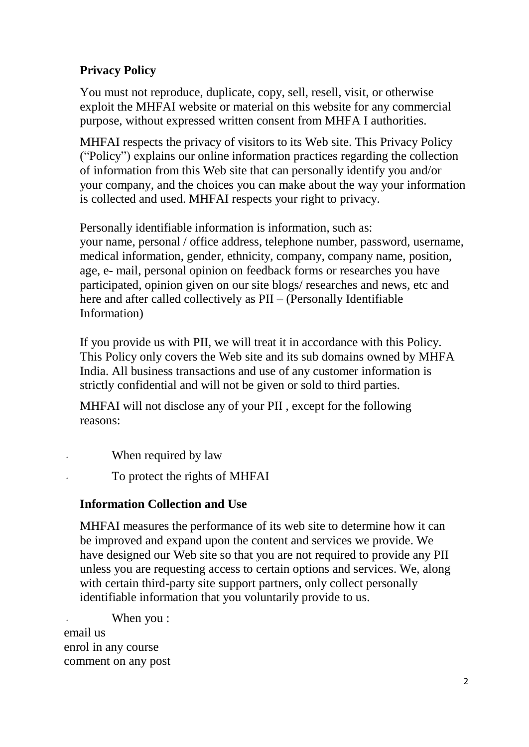## **Privacy Policy**

You must not reproduce, duplicate, copy, sell, resell, visit, or otherwise exploit the MHFAI website or material on this website for any commercial purpose, without expressed written consent from MHFA I authorities.

MHFAI respects the privacy of visitors to its Web site. This Privacy Policy ("Policy") explains our online information practices regarding the collection of information from this Web site that can personally identify you and/or your company, and the choices you can make about the way your information is collected and used. MHFAI respects your right to privacy.

Personally identifiable information is information, such as: your name, personal / office address, telephone number, password, username, medical information, gender, ethnicity, company, company name, position, age, e- mail, personal opinion on feedback forms or researches you have participated, opinion given on our site blogs/ researches and news, etc and here and after called collectively as  $PII - (Personally Identifiable)$ Information)

If you provide us with PII, we will treat it in accordance with this Policy. This Policy only covers the Web site and its sub domains owned by MHFA India. All business transactions and use of any customer information is strictly confidential and will not be given or sold to third parties.

MHFAI will not disclose any of your PII , except for the following reasons:

When required by law

To protect the rights of MHFAI

### **Information Collection and Use**

MHFAI measures the performance of its web site to determine how it can be improved and expand upon the content and services we provide. We have designed our Web site so that you are not required to provide any PII unless you are requesting access to certain options and services. We, along with certain third-party site support partners, only collect personally identifiable information that you voluntarily provide to us.

When you :

email us enrol in any course comment on any post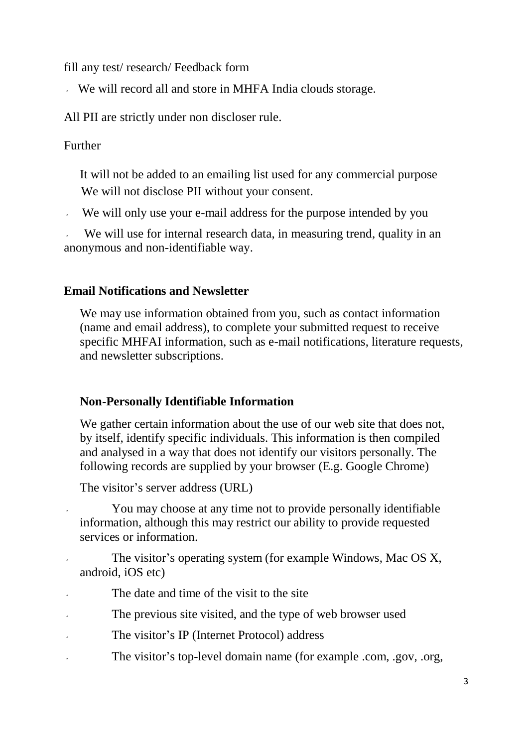fill any test/ research/ Feedback form

We will record all and store in MHFA India clouds storage.

All PII are strictly under non discloser rule.

### Further

It will not be added to an emailing list used for any commercial purpose We will not disclose PII without your consent.

We will only use your e-mail address for the purpose intended by you

We will use for internal research data, in measuring trend, quality in an anonymous and non-identifiable way.

### **Email Notifications and Newsletter**

We may use information obtained from you, such as contact information (name and email address), to complete your submitted request to receive specific MHFAI information, such as e-mail notifications, literature requests, and newsletter subscriptions.

#### **Non-Personally Identifiable Information**

We gather certain information about the use of our web site that does not, by itself, identify specific individuals. This information is then compiled and analysed in a way that does not identify our visitors personally. The following records are supplied by your browser (E.g. Google Chrome)

The visitor's server address (URL)

You may choose at any time not to provide personally identifiable information, although this may restrict our ability to provide requested services or information.

 The visitor's operating system (for example Windows, Mac OS X, android, iOS etc)

The date and time of the visit to the site

The previous site visited, and the type of web browser used

The visitor's IP (Internet Protocol) address

The visitor's top-level domain name (for example .com, .gov, .org,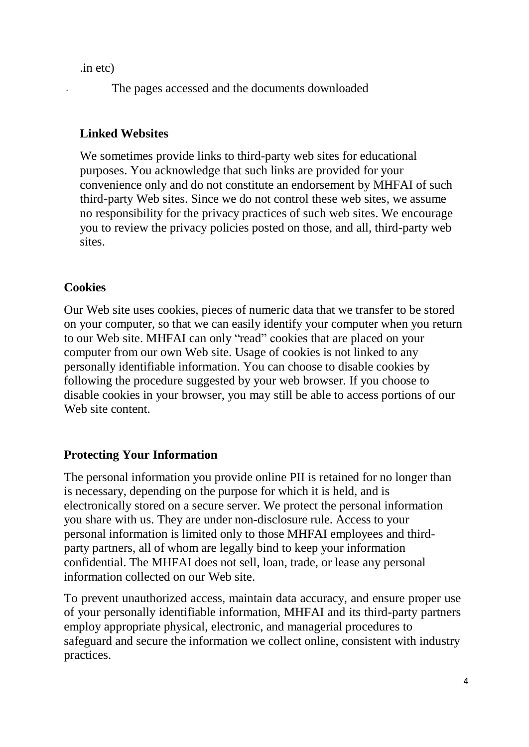.in etc)

The pages accessed and the documents downloaded

## **Linked Websites**

We sometimes provide links to third-party web sites for educational purposes. You acknowledge that such links are provided for your convenience only and do not constitute an endorsement by MHFAI of such third-party Web sites. Since we do not control these web sites, we assume no responsibility for the privacy practices of such web sites. We encourage you to review the privacy policies posted on those, and all, third-party web sites.

# **Cookies**

Our Web site uses cookies, pieces of numeric data that we transfer to be stored on your computer, so that we can easily identify your computer when you return to our Web site. MHFAI can only "read" cookies that are placed on your computer from our own Web site. Usage of cookies is not linked to any personally identifiable information. You can choose to disable cookies by following the procedure suggested by your web browser. If you choose to disable cookies in your browser, you may still be able to access portions of our Web site content.

### **Protecting Your Information**

The personal information you provide online PII is retained for no longer than is necessary, depending on the purpose for which it is held, and is electronically stored on a secure server. We protect the personal information you share with us. They are under non-disclosure rule. Access to your personal information is limited only to those MHFAI employees and thirdparty partners, all of whom are legally bind to keep your information confidential. The MHFAI does not sell, loan, trade, or lease any personal information collected on our Web site.

To prevent unauthorized access, maintain data accuracy, and ensure proper use of your personally identifiable information, MHFAI and its third-party partners employ appropriate physical, electronic, and managerial procedures to safeguard and secure the information we collect online, consistent with industry practices.